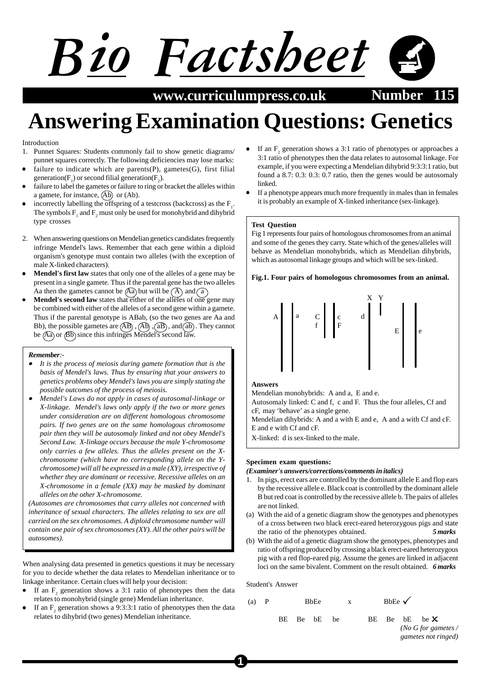# *Bio Factsheet*

**www.curriculumpress.co.uk Number** 

## **Answering Examination Questions: Genetics**

#### Introduction

- 1. Punnet Squares: Students commonly fail to show genetic diagrams/ punnet squares correctly. The following deficiencies may lose marks:
- failure to indicate which are parents(P), gametes(G), first filial generation( $F_1$ ) or second filial generation( $F_2$ ).
- failure to label the gametes or failure to ring or bracket the alleles within a gamete, for instance,  $(Ab)$  or  $(Ab)$ .
- incorrectly labelling the offspring of a testcross (backcross) as the  $F_1$ . The symbols  $F_1$ , and  $F_2$  must only be used for monohybrid and dihybrid type crosses
- 2. When answering questions on Mendelian genetics candidates frequently infringe Mendel's laws. Remember that each gene within a diploid organism's genotype must contain two alleles (with the exception of male X-linked characters).
- **Mendel's first law** states that only one of the alleles of a gene may be present in a single gamete. Thus if the parental gene has the two alleles Aa then the gametes cannot be  $(Aa)$  but will be  $(A)$  and  $\widehat{a}$
- **Mendel's second law** states that either of the alleles of one gene may be combined with either of the alleles of a second gene within a gamete. Thus if the parental genotype is ABab, (so the two genes are Aa and Bb), the possible gametes are  $\overline{AB}$ ,  $\overline{AB}$ ,  $\overline{AB}$ ,  $\overline{AB}$ , and  $\overline{ab}$ . They cannot be  $\overline{(\text{Aa})}$  or  $\overline{(\text{Bb})}$  since this infringes Mendel's second law.

#### *Remember:-*

- • *It is the process of meiosis during gamete formation that is the basis of Mendel's laws. Thus by ensuring that your answers to genetics problems obey Mendel's laws you are simply stating the possible outcomes of the process of meiosis.*
- • *Mendel's Laws do not apply in cases of autosomal-linkage or X-linkage. Mendel's laws only apply if the two or more genes under consideration are on different homologous chromosome pairs. If two genes are on the same homologous chromosome pair then they will be autosomaly linked and not obey Mendel's Second Law. X-linkage occurs because the male Y-chromosome only carries a few alleles. Thus the alleles present on the Xchromosome (which have no corresponding allele on the Ychromosome) will all be expressed in a male (XY), irrespective of whether they are dominant or recessive. Recessive alleles on an X-chromosome in a female (XX) may be masked by dominant alleles on the other X-chromosome.*

*(Autosomes are chromosomes that carry alleles not concerned with inheritance of sexual characters. The alleles relating to sex are all carried on the sex chromosomes. A diploid chromosome number will contain one pair of sex chromosomes (XY). All the other pairs will be autosomes).*

When analysing data presented in genetics questions it may be necessary for you to decide whether the data relates to Mendelian inheritance or to linkage inheritance. Certain clues will help your decision:

- If an  $F_2$  generation shows a 3:1 ratio of phenotypes then the data relates to monohybrid (single gene) Mendelian inheritance.
- If an  $F_2$  generation shows a 9:3:3:1 ratio of phenotypes then the data relates to dihybrid (two genes) Mendelian inheritance.
- If an  $F_2$  generation shows a 3:1 ratio of phenotypes or approaches a 3:1 ratio of phenotypes then the data relates to autosomal linkage. For example, if you were expecting a Mendelian dihybrid 9:3:3:1 ratio, but found a 8.7: 0.3: 0.3: 0.7 ratio, then the genes would be autosomaly linked.
- If a phenotype appears much more frequently in males than in females it is probably an example of X-linked inheritance (sex-linkage).

### **Test Question**

Fig 1 represents four pairs of homologous chromosomes from an animal and some of the genes they carry. State which of the genes/alleles will behave as Mendelian monohybrids, which as Mendelian dihybrids, which as autosomal linkage groups and which will be sex-linked.

#### **Fig.1. Four pairs of homologous chromosomes from an animal.**



#### **Answers**

Mendelian monohybrids: A and a, E and e. Autosomaly linked: C and f, c and F. Thus the four alleles, Cf and

cF, may 'behave' as a single gene. Mendelian dihybrids: A and a with E and e, A and a with Cf and cF.

E and e with Cf and cF.

X-linked: d is sex-linked to the male.

#### **Specimen exam questions:**

#### *(Examiner's answers/corrections/comments in italics)*

- 1. In pigs, erect ears are controlled by the dominant allele E and flop ears by the recessive allele e. Black coat is controlled by the dominant allele B but red coat is controlled by the recessive allele b. The pairs of alleles are not linked.
- (a) With the aid of a genetic diagram show the genotypes and phenotypes of a cross between two black erect-eared heterozygous pigs and state the ratio of the phenotypes obtained. *5 marks*
- (b) With the aid of a genetic diagram show the genotypes, phenotypes and ratio of offspring produced by crossing a black erect-eared heterozygous pig with a red flop-eared pig. Assume the genes are linked in adjacent loci on the same bivalent. Comment on the result obtained. *6 marks*

Student's Answer

**1**

 $(a)$  P BbEe BE Be bE be BE Be be  $\times$ BbEe √

*(No G for gametes / gametes not ringed)*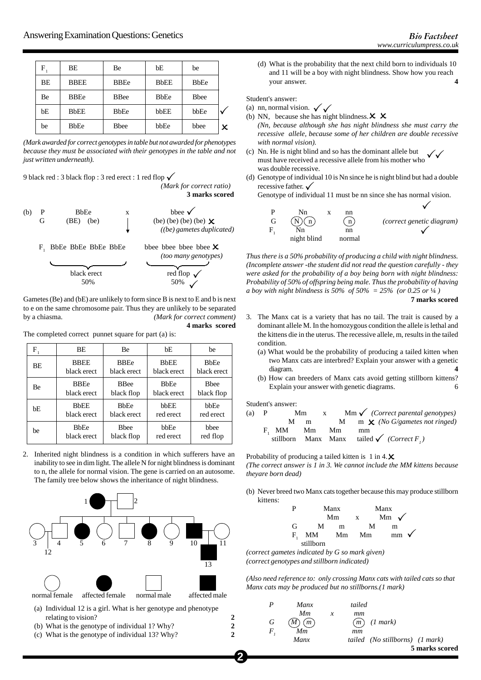| F  | <b>BE</b>   | Be          | bE          | be           |   |
|----|-------------|-------------|-------------|--------------|---|
| BΕ | <b>BBEE</b> | <b>BBEe</b> | <b>BbEE</b> | <b>BbEe</b>  |   |
| Вe | <b>BBEe</b> | <b>BBee</b> | <b>BbEe</b> | <b>B</b> bee |   |
| bE | <b>BbEE</b> | <b>BbEe</b> | bbEE        | bbEe         |   |
| be | <b>BbEe</b> | Bbee        | bbEe        | bbee         | x |

*(Mark awarded for correct genotypes in table but not awarded for phenotypes because they must be associated with their genotypes in the table and not just written underneath).*

9 black red : 3 black flop : 3 red erect : 1 red flop  $\checkmark$ 

*(Mark for correct ratio)* **3 marks scored**



Gametes (Be) and (bE) are unlikely to form since B is next to E and b is next to e on the same chromosome pair. Thus they are unlikely to be separated by a chiasma. *(Mark for correct comment)* **4 marks scored**

The completed correct punnet square for part (a) is:

| F  | BE                        | Be           | bE                        | be           |
|----|---------------------------|--------------|---------------------------|--------------|
| BE | <b>BBEE</b>               | <b>BBEe</b>  | <b>BbEE</b>               | <b>BbEe</b>  |
|    | black erect               | black erect  | black erect               | black erect  |
| Be | <b>BBEe</b>               | <b>B</b> Bee | <b>B</b> b <sub>E</sub> e | <b>B</b> bee |
|    | black erect               | black flop   | black erect               | black flop   |
| bE | <b>BbEE</b>               | <b>BbEe</b>  | bbEE                      | bbEe         |
|    | black erect               | black erect  | red erect                 | red erect    |
| be | <b>B</b> b <sub>E</sub> e | <b>B</b> hee | bbEe                      | bbee         |
|    | black erect               | black flop   | red erect                 | red flop     |

2. Inherited night blindness is a condition in which sufferers have an inability to see in dim light. The allele N for night blindness is dominant to n, the allele for normal vision. The gene is carried on an autosome. The family tree below shows the inheritance of night blindness.



(a) Individual 12 is a girl. What is her genotype and phenotype relating to vision? **2**

- (b) What is the genotype of individual 1? Why? **2**
- (c) What is the genotype of individual 13? Why? **2**

(d) What is the probability that the next child born to individuals 10 and 11 will be a boy with night blindness. Show how you reach

Student's answer:

(a) nn, normal vision.  $\sqrt{\sqrt{\ }}$ 

your answer. **4**

- (b) NN, because she has night blindness.  $\times \times$ *(Nn, because although she has night blindness she must carry the recessive allele, because some of her children are double recessive with normal vision).*
- (c) Nn. He is night blind and so has the dominant allele but must have received a recessive allele from his mother who was double recessive.  $\sqrt{}$
- (d) Genotype of individual 10 is Nn since he is night blind but had a double recessive father.  $\checkmark$

Genotype of individual 11 must be nn since she has normal vision.



*Thus there is a 50% probability of producing a child with night blindness. (Incomplete answer -the student did not read the question carefully - they were asked for the probability of a boy being born with night blindness: Probability of 50% of offspring being male. Thus the probability of having a boy with night blindness is 50% of 50% = 25% (or 0.25 or* ¼ *)*

**7 marks scored**

- 3. The Manx cat is a variety that has no tail. The trait is caused by a dominant allele M. In the homozygous condition the allele is lethal and the kittens die in the uterus. The recessive allele, m, results in the tailed condition.
	- (a) What would be the probability of producing a tailed kitten when two Manx cats are interbred? Explain your answer with a genetic diagram. **4**
	- (b) How can breeders of Manx cats avoid getting stillborn kittens? Explain your answer with genetic diagrams. 6

Student's answer:

**2**

| (a) | $\mathbf{P}$ |          | Mm | $\mathbf{X}$ | $\text{Mm} \checkmark$ (Correct parental genotypes)               |
|-----|--------------|----------|----|--------------|-------------------------------------------------------------------|
|     |              | м        | m  |              | M m $\chi$ (No G/gametes not ringed)                              |
|     |              | F, MM Mm |    | Mm           | mm                                                                |
|     |              |          |    |              | stillborn Manx Manx tailed $\checkmark$ (Correct F <sub>1</sub> ) |

Probability of producing a tailed kitten is  $1 \text{ in } 4 \cdot \mathbf{X}$ *(The correct answer is 1 in 3. We cannot include the MM kittens because theyare born dead)*

(b) Never breed two Manx cats together because this may produce stillborn kittens:

| р  | Manx      |    | Manx |                 |                 |  |
|----|-----------|----|------|-----------------|-----------------|--|
|    |           | Mm | X    | Mm $\checkmark$ |                 |  |
| G  | М         | m  | М    | m               |                 |  |
| F. | MM        | Mm | Mm   |                 | $mm \checkmark$ |  |
|    | stillborn |    |      |                 |                 |  |

*(correct gametes indicated by G so mark given) (correct genotypes and stillborn indicated)*

*(Also need reference to: only crossing Manx cats with tailed cats so that Manx cats may be produced but no stillborns.(1 mark)*